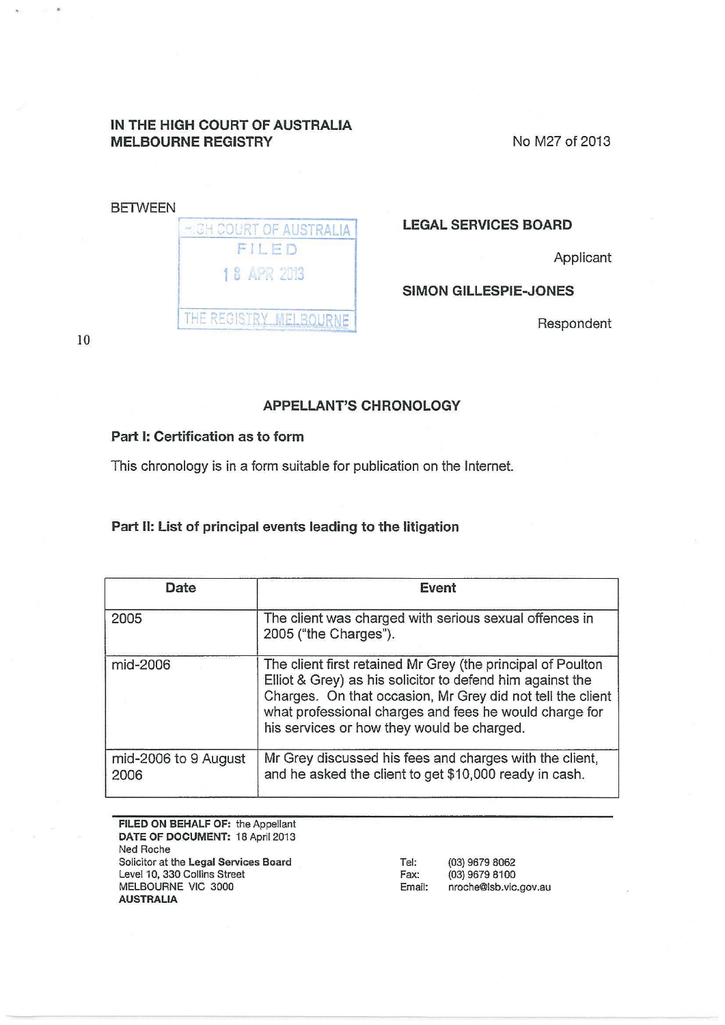### IN THE HIGH COURT OF AUSTRALIA MELBOURNE REGISTRY

No M27 of 2013

| <b>MIGH COURT OF AUSTRALIA</b> |
|--------------------------------|
| FILED                          |
| 18 APR 2013                    |
| THE REGISTRY MELBO             |

# LEGAL SERVICES BOARD

Applicant

### SIMON GILLESPIE-JONES

Respondent

10

 $\tilde{H}$ 

## APPELLANT'S CHRONOLOGY

#### Part 1: Certification as to form

This chronology is in a form suitable for publication on the Internet.

#### Part II: List of principal events leading to the litigation

| Date                         | Event                                                                                                                                                                                                                                                                                          |
|------------------------------|------------------------------------------------------------------------------------------------------------------------------------------------------------------------------------------------------------------------------------------------------------------------------------------------|
| 2005                         | The client was charged with serious sexual offences in<br>2005 ("the Charges").                                                                                                                                                                                                                |
| mid-2006                     | The client first retained Mr Grey (the principal of Poulton<br>Elliot & Grey) as his solicitor to defend him against the<br>Charges. On that occasion, Mr Grey did not tell the client<br>what professional charges and fees he would charge for<br>his services or how they would be charged. |
| mid-2006 to 9 August<br>2006 | Mr Grey discussed his fees and charges with the client,<br>and he asked the client to get \$10,000 ready in cash.                                                                                                                                                                              |

FILED ON BEHALF OF: the Appellant DATE OF DOCUMENT: 18 April 2013 Ned Roche Solicitor at the Legal Services Board Level 10, 330 Collins Street MELBOURNE VIC 3000 AUSTRALIA Tel: {03) 9679 8062 Fax: (03) 9679 8100 Email: nroche@lsb.vic.gov.au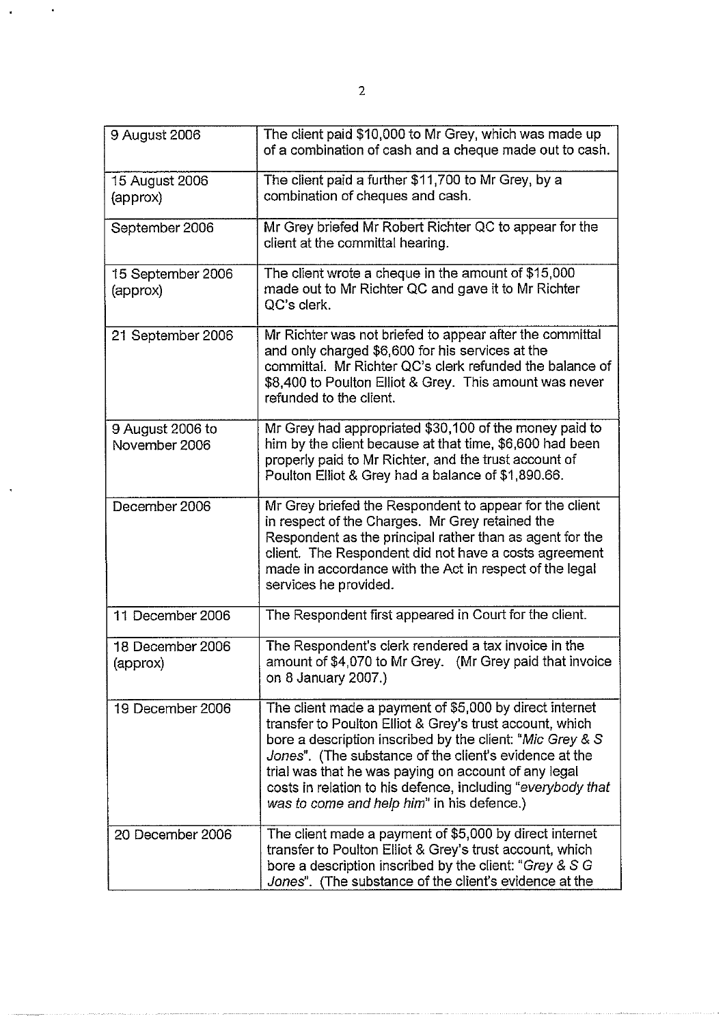| 9 August 2006                     | The client paid \$10,000 to Mr Grey, which was made up<br>of a combination of cash and a cheque made out to cash.                                                                                                                                                                                                                                                                                               |
|-----------------------------------|-----------------------------------------------------------------------------------------------------------------------------------------------------------------------------------------------------------------------------------------------------------------------------------------------------------------------------------------------------------------------------------------------------------------|
| 15 August 2006<br>(approx)        | The client paid a further \$11,700 to Mr Grey, by a<br>combination of cheques and cash.                                                                                                                                                                                                                                                                                                                         |
| September 2006                    | Mr Grey briefed Mr Robert Richter QC to appear for the<br>client at the committal hearing.                                                                                                                                                                                                                                                                                                                      |
| 15 September 2006<br>(approx)     | The client wrote a cheque in the amount of \$15,000<br>made out to Mr Richter QC and gave it to Mr Richter<br>QC's clerk.                                                                                                                                                                                                                                                                                       |
| 21 September 2006                 | Mr Richter was not briefed to appear after the committal<br>and only charged \$6,600 for his services at the<br>committal. Mr Richter QC's clerk refunded the balance of<br>\$8,400 to Poulton Elliot & Grey. This amount was never<br>refunded to the client.                                                                                                                                                  |
| 9 August 2006 to<br>November 2006 | Mr Grey had appropriated \$30,100 of the money paid to<br>him by the client because at that time, \$6,600 had been<br>properly paid to Mr Richter, and the trust account of<br>Poulton Elliot & Grey had a balance of \$1,890.66.                                                                                                                                                                               |
| December 2006                     | Mr Grey briefed the Respondent to appear for the client<br>in respect of the Charges. Mr Grey retained the<br>Respondent as the principal rather than as agent for the<br>client. The Respondent did not have a costs agreement<br>made in accordance with the Act in respect of the legal<br>services he provided.                                                                                             |
| 11 December 2006                  | The Respondent first appeared in Court for the client.                                                                                                                                                                                                                                                                                                                                                          |
| 18 December 2006<br>(approx)      | The Respondent's clerk rendered a tax invoice in the<br>amount of \$4,070 to Mr Grey. (Mr Grey paid that invoice<br>on 8 January 2007.)                                                                                                                                                                                                                                                                         |
| 19 December 2006                  | The client made a payment of \$5,000 by direct internet<br>transfer to Poulton Elliot & Grey's trust account, which<br>bore a description inscribed by the client: "Mic Grey & S<br>Jones". (The substance of the client's evidence at the<br>trial was that he was paying on account of any legal<br>costs in relation to his defence, including "everybody that<br>was to come and help him" in his defence.) |
| 20 December 2006                  | The client made a payment of \$5,000 by direct internet<br>transfer to Poulton Elliot & Grey's trust account, which<br>bore a description inscribed by the client: "Grey & S G<br>Jones". (The substance of the client's evidence at the                                                                                                                                                                        |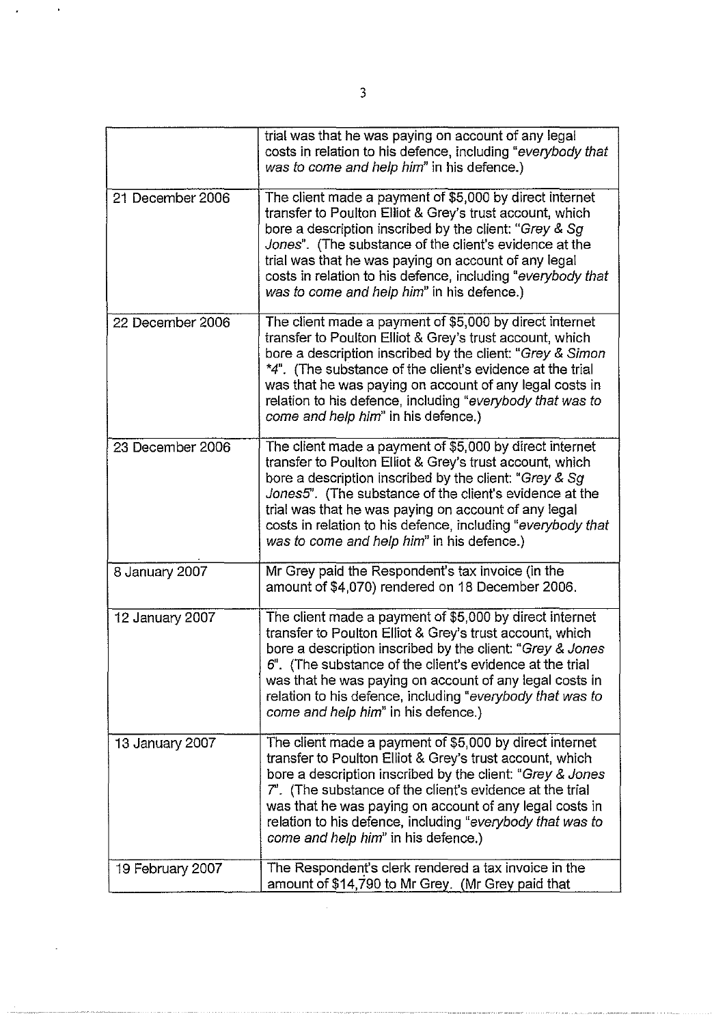|                  | trial was that he was paying on account of any legal<br>costs in relation to his defence, including "everybody that<br>was to come and help him" in his defence.)                                                                                                                                                                                                                                             |
|------------------|---------------------------------------------------------------------------------------------------------------------------------------------------------------------------------------------------------------------------------------------------------------------------------------------------------------------------------------------------------------------------------------------------------------|
| 21 December 2006 | The client made a payment of \$5,000 by direct internet<br>transfer to Poulton Elliot & Grey's trust account, which<br>bore a description inscribed by the client: "Grey & Sg<br>Jones". (The substance of the client's evidence at the<br>trial was that he was paying on account of any legal<br>costs in relation to his defence, including "everybody that<br>was to come and help him" in his defence.)  |
| 22 December 2006 | The client made a payment of \$5,000 by direct internet<br>transfer to Poulton Elliot & Grey's trust account, which<br>bore a description inscribed by the client: "Grey & Simon<br>*4". (The substance of the client's evidence at the trial<br>was that he was paying on account of any legal costs in<br>relation to his defence, including "everybody that was to<br>come and help him" in his defence.)  |
| 23 December 2006 | The client made a payment of \$5,000 by direct internet<br>transfer to Poulton Elliot & Grey's trust account, which<br>bore a description inscribed by the client: "Grey & Sg<br>Jones5". (The substance of the client's evidence at the<br>trial was that he was paying on account of any legal<br>costs in relation to his defence, including "everybody that<br>was to come and help him" in his defence.) |
| 8 January 2007   | Mr Grey paid the Respondent's tax invoice (in the<br>amount of \$4,070) rendered on 18 December 2006.                                                                                                                                                                                                                                                                                                         |
| 12 January 2007  | The client made a payment of \$5,000 by direct internet<br>transfer to Poulton Elliot & Grey's trust account, which<br>bore a description inscribed by the client: "Grey & Jones<br>6". (The substance of the client's evidence at the trial<br>was that he was paying on account of any legal costs in<br>relation to his defence, including "everybody that was to<br>come and help him" in his defence.)   |
| 13 January 2007  | The client made a payment of \$5,000 by direct internet<br>transfer to Poulton Elliot & Grey's trust account, which<br>bore a description inscribed by the client: "Grey & Jones<br>7". (The substance of the client's evidence at the trial<br>was that he was paying on account of any legal costs in<br>relation to his defence, including "everybody that was to<br>come and help him" in his defence.)   |
| 19 February 2007 | The Respondent's clerk rendered a tax invoice in the<br>amount of \$14,790 to Mr Grey. (Mr Grey paid that                                                                                                                                                                                                                                                                                                     |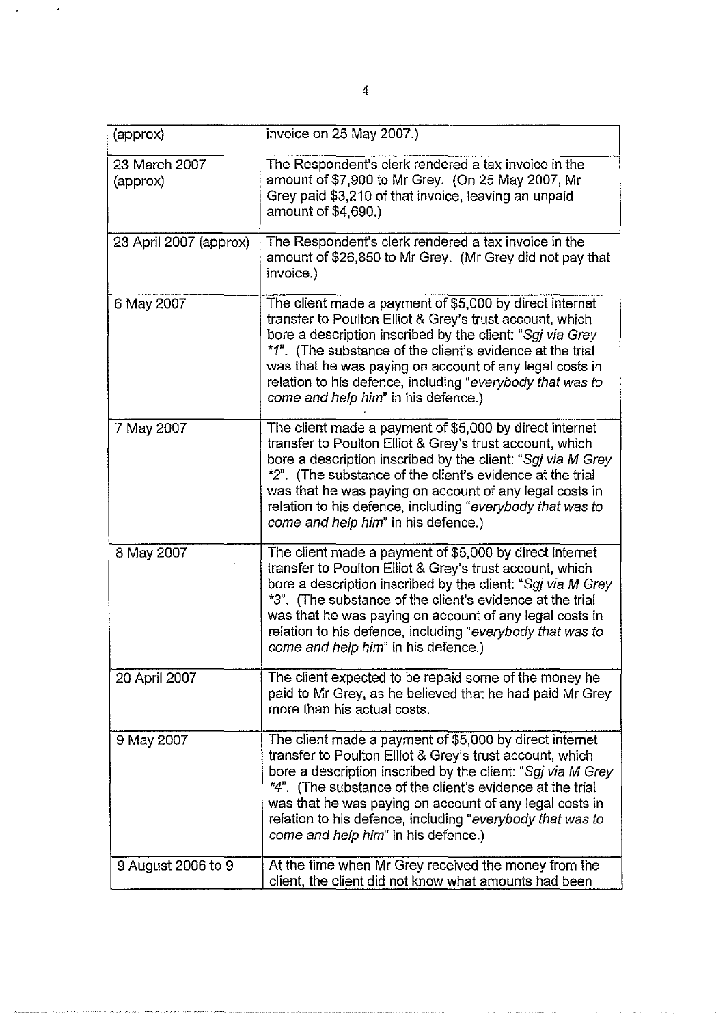| (approx)                  | invoice on 25 May 2007.)                                                                                                                                                                                                                                                                                                                                                                                       |
|---------------------------|----------------------------------------------------------------------------------------------------------------------------------------------------------------------------------------------------------------------------------------------------------------------------------------------------------------------------------------------------------------------------------------------------------------|
| 23 March 2007<br>(approx) | The Respondent's clerk rendered a tax invoice in the<br>amount of \$7,900 to Mr Grey. (On 25 May 2007, Mr<br>Grey paid \$3,210 of that invoice, leaving an unpaid<br>amount of \$4,690.)                                                                                                                                                                                                                       |
| 23 April 2007 (approx)    | The Respondent's clerk rendered a tax invoice in the<br>amount of \$26,850 to Mr Grey. (Mr Grey did not pay that<br>invoice.)                                                                                                                                                                                                                                                                                  |
| 6 May 2007                | The client made a payment of \$5,000 by direct internet<br>transfer to Poulton Elliot & Grey's trust account, which<br>bore a description inscribed by the client: "Sgj via Grey<br>*1". (The substance of the client's evidence at the trial<br>was that he was paying on account of any legal costs in<br>relation to his defence, including "everybody that was to<br>come and help him" in his defence.)   |
| 7 May 2007                | The client made a payment of \$5,000 by direct internet<br>transfer to Poulton Elliot & Grey's trust account, which<br>bore a description inscribed by the client: "Sgj via M Grey<br>*2". (The substance of the client's evidence at the trial<br>was that he was paying on account of any legal costs in<br>relation to his defence, including "everybody that was to<br>come and help him" in his defence.) |
| 8 May 2007                | The client made a payment of \$5,000 by direct internet<br>transfer to Poulton Elliot & Grey's trust account, which<br>bore a description inscribed by the client: "Sgj via M Grey<br>*3". (The substance of the client's evidence at the trial<br>was that he was paying on account of any legal costs in<br>relation to his defence, including "everybody that was to<br>come and help him" in his defence.) |
| 20 April 2007             | The client expected to be repaid some of the money he<br>paid to Mr Grey, as he believed that he had paid Mr Grey<br>more than his actual costs.                                                                                                                                                                                                                                                               |
| 9 May 2007                | The client made a payment of \$5,000 by direct internet<br>transfer to Poulton Elliot & Grey's trust account, which<br>bore a description inscribed by the client: "Sgj via M Grey<br>*4". (The substance of the client's evidence at the trial<br>was that he was paying on account of any legal costs in<br>relation to his defence, including "everybody that was to<br>come and help him" in his defence.) |
| 9 August 2006 to 9        | At the time when Mr Grey received the money from the<br>client, the client did not know what amounts had been                                                                                                                                                                                                                                                                                                  |